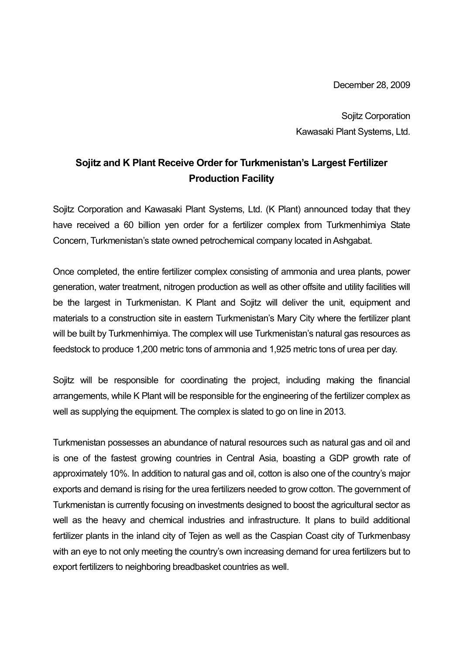December 28, 2009

Sojitz Corporation Kawasaki Plant Systems, Ltd.

## **Sojitz and K Plant Receive Order for Turkmenistan's Largest Fertilizer Production Facility**

Sojitz Corporation and Kawasaki Plant Systems, Ltd. (K Plant) announced today that they have received a 60 billion yen order for a fertilizer complex from Turkmenhimiya State Concern, Turkmenistan's state owned petrochemical company located in Ashgabat.

Once completed, the entire fertilizer complex consisting of ammonia and urea plants, power generation, water treatment, nitrogen production as well as other offsite and utility facilities will be the largest in Turkmenistan. K Plant and Sojitz will deliver the unit, equipment and materials to a construction site in eastern Turkmenistan's Mary City where the fertilizer plant will be built by Turkmenhimiya. The complex will use Turkmenistan's natural gas resources as feedstock to produce 1,200 metric tons of ammonia and 1,925 metric tons of urea per day.

Sojitz will be responsible for coordinating the project, including making the financial arrangements, while K Plant will be responsible for the engineering of the fertilizer complex as well as supplying the equipment. The complex is slated to go on line in 2013.

Turkmenistan possesses an abundance of natural resources such as natural gas and oil and is one of the fastest growing countries in Central Asia, boasting a GDP growth rate of approximately 10%. In addition to natural gas and oil, cotton is also one of the country's major exports and demand is rising for the urea fertilizers needed to grow cotton. The government of Turkmenistan is currently focusing on investments designed to boost the agricultural sector as well as the heavy and chemical industries and infrastructure. It plans to build additional fertilizer plants in the inland city of Tejen as well as the Caspian Coast city of Turkmenbasy with an eye to not only meeting the country's own increasing demand for urea fertilizers but to export fertilizers to neighboring breadbasket countries as well.